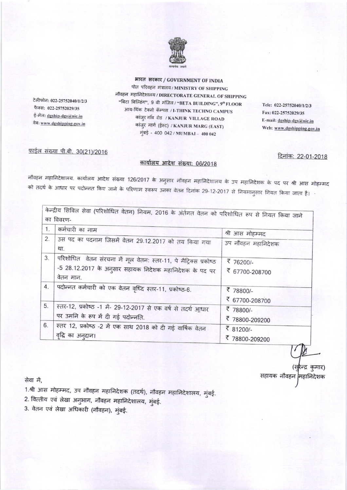

टेलीफोन: 022-25752040/1/2/3 फैक्स: 022-25752029/35 ई-मेल: dgship-dgs@nic.in वेबः www.dgshipping.gov.in

भारत सरकार / GOVERNMENT OF INDIA पोत परिवहन मंत्रालय / MINISTRY OF SHIPPING नौवहन महानिदेशालय / DIRECTORATE GENERAL OF SHIPPING "बिटा बिल्डिंग", 9 वी मंजिल / "BETA BUILDING", 9" FLOOR आय-थिंक टेक्नो कॅम्पस / I-THINK TECHNO CAMPUS कांजुर गाँव रोड / KANJUR VILLAGE ROAD कांजुर मार्ग (ईस्ट) / KANJUR MARG (EAST) मुंबई - 400 042 / MUMBAI - 400 042

Tele: 022-25752040/1/2/3 Fax: 022-25752029/35 E-mail: dgship-dgs@nic.in Web: www.dgshipping.gov.in

## फाईल संख्या पी.बी. 30(21)/2016

## कार्यालय आदेश संख्या: 06/2018

दिनांक: 22-01-2018

नौवहन महानिदेशालय. कार्यालय आदेश संख्या 126/2017 के अनुसार नौवहन महानिदेशालय के उप महानिदेशक के पद पर श्री आस मोहम्मद े को तदर्थ के आधार पर पदोन्नत किए जाने के परिणाम स्वरूप उनका वेतन दिनांक 29-12-2017 से नियमानुसार नियत किया जाता है।

|    | केन्द्रीय सिविल सेवा (परिशोधित वेतन) नियम, 2016 के अंर्तगत वेतन को परिशोधित रूप से नियत किया जाने                             |                             |  |  |
|----|-------------------------------------------------------------------------------------------------------------------------------|-----------------------------|--|--|
|    | का विवरण-                                                                                                                     |                             |  |  |
| 1. | कर्मचारी का नाम                                                                                                               | श्री आस मोहम्मद             |  |  |
| 2. | उस पद का पदनाम जिसमें वेतन 29.12.2017 को तय किया गया<br>था.                                                                   | उप नौवहन महानिदेशक          |  |  |
| 3. | परिशोधित  वेतन संरचना में मूल वेतन: स्तर-11, पे मैट्रिक्स प्रकोष्ठ<br>-5 28.12.2017 के अनुसार सहायक निदेशक महानिदेशक के पद पर | ₹ 76200/-<br>₹ 67700-208700 |  |  |
| 4. | वेतन मान.<br>पदोन्नत कर्मचारी को एक वेतन वृध्दि स्तर-11, प्रकोष्ठ-6.                                                          | ₹ 78800/-                   |  |  |
|    |                                                                                                                               | ₹ 67700-208700              |  |  |
| 5. | स्तर-12, प्रकोष्ठ -1 में- 29-12-2017 से एक वर्ष से तदर्थ आधार<br>पर उमनि के रूप में दी गई पदोन्नति.                           | ₹ 78800/-                   |  |  |
| 6. | स्तर 12, प्रकोष्ठ -2 में एक साथ 2018 को दी गई वार्षिक वेतन                                                                    | ₹ 78800-209200<br>₹ 81200/- |  |  |
|    | वृद्धि का अनुदान।                                                                                                             | ₹ 78800-209200              |  |  |

रेन्द्र कुमार) सहायक नौवहन मिहानिदेशक

सेवा में,

1.श्री आस मोहम्मद, उप नौवहन महानिदेशक (तदर्थ), नौवहन महानिदेशालय, मुंबई.

2. वित्तीय एवं लेखा अनुभाग, नौवहन महानिदेशालय, मुंबई.

3. वेतन एवं लेखा अधिकारी (नौवहन), मुंबई.